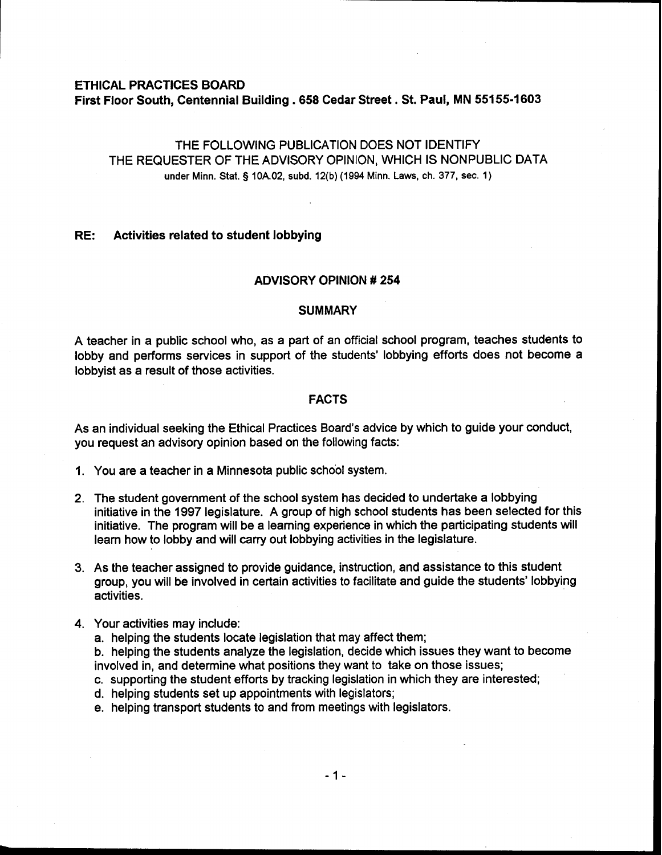# ETHICAL PRACTICES BOARD First Floor South, Centennial Building . **658** Cedar Street. St. Paul, MN **55155-1603**

# THE FOLLOWING PUBLICATION DOES NOT IDENTIFY THE REQUESTER OF THE ADVISORY OPINION, WHICH IS NONPUBLIC DATA under Minn. Stat. **3** 10A.02, subd. 12(b) (1994 Minn. Laws, ch. 377, sec. 1)

## RE: Activities related to student lobbying

#### ADVISORY OPINION # **254**

#### **SUMMARY**

A teacher in a public school who, as a part of an official school program, teaches students to lobby and performs services in support of the students' lobbying efforts does not become a lobbyist as a result of those activities.

### FACTS

As an individual seeking the Ethical Practices Board's advice by which to guide your conduct, you request an advisory opinion based on the following facts:

- 1. You are a teacher in a Minnesota public school system.
- 2. The student government of the school system has decided to undertake a lobbying initiative in the 1997 legislature. A group of high school students has been selected for this initiative. The program will be a learning experience in which the participating students will learn how to lobby and will carry out lobbying activities in the legislature.
- 3. As the teacher assigned to provide guidance, instruction, and assistance to this student group, you will be involved in certain activities to facilitate and guide the students' lobbying activities.
- 4. Your activities may include:
	- a. helping the students locate legislation that may affect them;

b. helping the students analyze the legislation, decide which issues they want to become involved in, and determine what positions they want to take on those issues;

- c. supporting the student efforts by tracking legislation in which they are interested;
- d. helping students set up appointments with legislators;
- e. helping transport students to and from meetings with legislators.

 $-1-$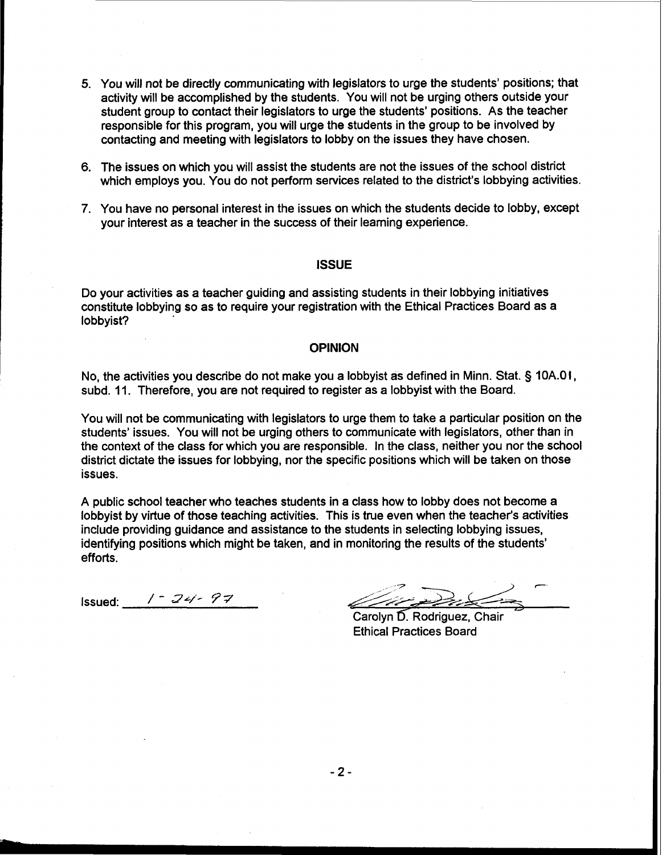- 5. You will not be directly communicating with legislators to urge the students' positions; that activity will be accomplished by the students. You will not be urging others outside your student group to contact their legislators to urge the students' positions. As the teacher responsible for this program, you will urge the students in the group to be involved by contacting and meeting with legislators to lobby on the issues they have chosen.
- 6. The issues on which you will assist the students are not the issues of the school district which employs you. You do not perform services related to the district's lobbying activities.
- 7. You have no personal interest in the issues on which the students decide to lobby, except your interest as a teacher in the success of their learning experience.

I **ISSUE**  Do your activities as a teacher guiding and assisting students in their lobbying initiatives constitute lobbying so as to require your registration with the Ethical Practices Board as a lobbyist?

### **OPINION**

No, the activities you describe do not make you a lobbyist as defined in Minn. Stat. § 10A.O I, subd. 11. Therefore, you are not required to register as a lobbyist with the Board.

You will not be communicating with legislators to urge them to take a particular position on the students' issues. You will not be urging others to communicate with legislators, other than in the context of the class for which you are responsible. In the class, neither you nor the school district dictate the issues for lobbying, nor the specific positions which will be taken on those issues.

A public school teacher who teaches students in a class how to lobby does not become a lobbyist by virtue of those teaching activities. This is true even when the teacher's activities include providing guidance and assistance to the students in selecting lobbying issues, identifying positions which might be taken, and in monitoring the results of the students' efforts.

Issued: / - **24'-** 7 7

 $\mathbb{Z}$ ,  $\mathbb{Z}$ 

Carolyn D. Rodriguez, Chair Ethical Practices Board